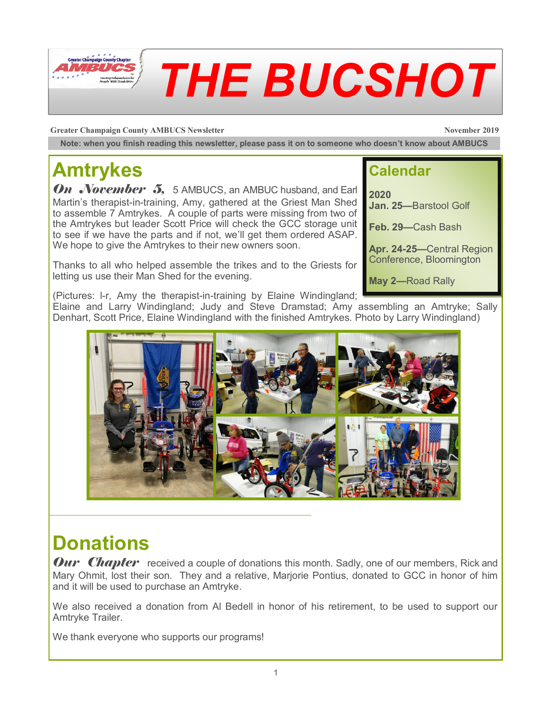

**Greater Champaign County AMBUCS Newsletter November 2019 November 2019** 

**Note: when you finish reading this newsletter, please pass it on to someone who doesn't know about AMBUCS**

# **Amtrykes**

**On November 5,** 5 AMBUCS, an AMBUC husband, and Earl Martin's therapist-in-training, Amy, gathered at the Griest Man Shed to assemble 7 Amtrykes. A couple of parts were missing from two of the Amtrykes but leader Scott Price will check the GCC storage unit to see if we have the parts and if not, we'll get them ordered ASAP. We hope to give the Amtrykes to their new owners soon.

Thanks to all who helped assemble the trikes and to the Griests for letting us use their Man Shed for the evening.

#### **Calendar**

**2020 Jan. 25—**Barstool Golf

**Feb. 29—**Cash Bash

**Apr. 24-25—**Central Region Conference, Bloomington

**May 2—**Road Rally

(Pictures: l-r, Amy the therapist-in-training by Elaine Windingland; Elaine and Larry Windingland; Judy and Steve Dramstad; Amy assembling an Amtryke; Sally Denhart, Scott Price, Elaine Windingland with the finished Amtrykes. Photo by Larry Windingland)



#### **Donations**

**Our Chapter** received a couple of donations this month. Sadly, one of our members, Rick and Mary Ohmit, lost their son. They and a relative, Marjorie Pontius, donated to GCC in honor of him and it will be used to purchase an Amtryke.

We also received a donation from Al Bedell in honor of his retirement, to be used to support our Amtryke Trailer.

We thank everyone who supports our programs!